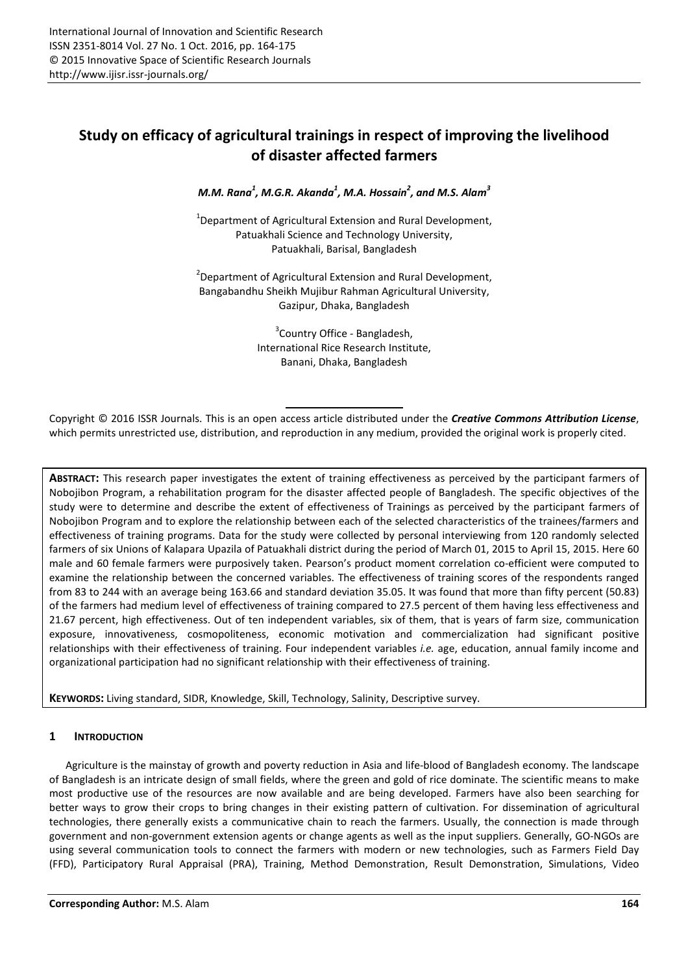# **Study on efficacy of agricultural trainings in respect of improving the livelihood of disaster affected farmers**

*M.M. Rana<sup>1</sup> , M.G.R. Akanda<sup>1</sup> , M.A. Hossain<sup>2</sup> , and M.S. Alam<sup>3</sup>*

 $^{1}$ Department of Agricultural Extension and Rural Development, Patuakhali Science and Technology University, Patuakhali, Barisal, Bangladesh

 $2$ Department of Agricultural Extension and Rural Development, Bangabandhu Sheikh Mujibur Rahman Agricultural University, Gazipur, Dhaka, Bangladesh

> <sup>3</sup>Country Office - Bangladesh, International Rice Research Institute, Banani, Dhaka, Bangladesh

Copyright © 2016 ISSR Journals. This is an open access article distributed under the *Creative Commons Attribution License*, which permits unrestricted use, distribution, and reproduction in any medium, provided the original work is properly cited.

**ABSTRACT:** This research paper investigates the extent of training effectiveness as perceived by the participant farmers of Nobojibon Program, a rehabilitation program for the disaster affected people of Bangladesh. The specific objectives of the study were to determine and describe the extent of effectiveness of Trainings as perceived by the participant farmers of Nobojibon Program and to explore the relationship between each of the selected characteristics of the trainees/farmers and effectiveness of training programs. Data for the study were collected by personal interviewing from 120 randomly selected farmers of six Unions of Kalapara Upazila of Patuakhali district during the period of March 01, 2015 to April 15, 2015. Here 60 male and 60 female farmers were purposively taken. Pearson's product moment correlation co-efficient were computed to examine the relationship between the concerned variables. The effectiveness of training scores of the respondents ranged from 83 to 244 with an average being 163.66 and standard deviation 35.05. It was found that more than fifty percent (50.83) of the farmers had medium level of effectiveness of training compared to 27.5 percent of them having less effectiveness and 21.67 percent, high effectiveness. Out of ten independent variables, six of them, that is years of farm size, communication exposure, innovativeness, cosmopoliteness, economic motivation and commercialization had significant positive relationships with their effectiveness of training. Four independent variables *i.e.* age, education, annual family income and organizational participation had no significant relationship with their effectiveness of training.

**KEYWORDS:** Living standard, SIDR, Knowledge, Skill, Technology, Salinity, Descriptive survey.

## **1 INTRODUCTION**

Agriculture is the mainstay of growth and poverty reduction in Asia and life-blood of Bangladesh economy. The landscape of Bangladesh is an intricate design of small fields, where the green and gold of rice dominate. The scientific means to make most productive use of the resources are now available and are being developed. Farmers have also been searching for better ways to grow their crops to bring changes in their existing pattern of cultivation. For dissemination of agricultural technologies, there generally exists a communicative chain to reach the farmers. Usually, the connection is made through government and non-government extension agents or change agents as well as the input suppliers. Generally, GO-NGOs are using several communication tools to connect the farmers with modern or new technologies, such as Farmers Field Day (FFD), Participatory Rural Appraisal (PRA), Training, Method Demonstration, Result Demonstration, Simulations, Video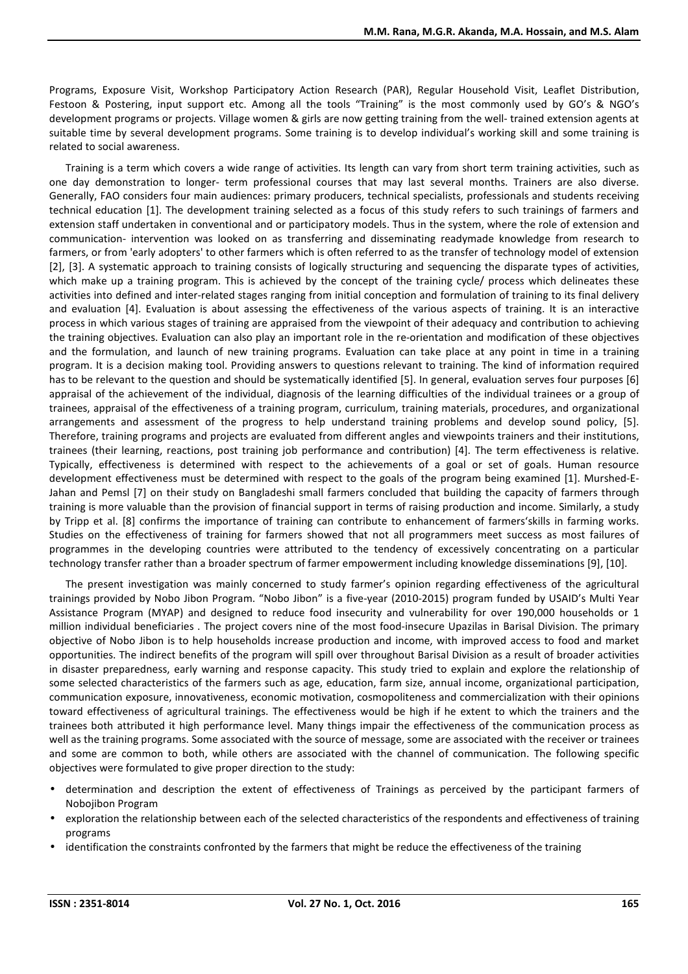Programs, Exposure Visit, Workshop Participatory Action Research (PAR), Regular Household Visit, Leaflet Distribution, Festoon & Postering, input support etc. Among all the tools "Training" is the most commonly used by GO's & NGO's development programs or projects. Village women & girls are now getting training from the well- trained extension agents at suitable time by several development programs. Some training is to develop individual's working skill and some training is related to social awareness.

Training is a term which covers a wide range of activities. Its length can vary from short term training activities, such as one day demonstration to longer- term professional courses that may last several months. Trainers are also diverse. Generally, FAO considers four main audiences: primary producers, technical specialists, professionals and students receiving technical education [1]. The development training selected as a focus of this study refers to such trainings of farmers and extension staff undertaken in conventional and or participatory models. Thus in the system, where the role of extension and communication- intervention was looked on as transferring and disseminating readymade knowledge from research to farmers, or from 'early adopters' to other farmers which is often referred to as the transfer of technology model of extension [2], [3]. A systematic approach to training consists of logically structuring and sequencing the disparate types of activities, which make up a training program. This is achieved by the concept of the training cycle/ process which delineates these activities into defined and inter-related stages ranging from initial conception and formulation of training to its final delivery and evaluation [4]. Evaluation is about assessing the effectiveness of the various aspects of training. It is an interactive process in which various stages of training are appraised from the viewpoint of their adequacy and contribution to achieving the training objectives. Evaluation can also play an important role in the re-orientation and modification of these objectives and the formulation, and launch of new training programs. Evaluation can take place at any point in time in a training program. It is a decision making tool. Providing answers to questions relevant to training. The kind of information required has to be relevant to the question and should be systematically identified [5]. In general, evaluation serves four purposes [6] appraisal of the achievement of the individual, diagnosis of the learning difficulties of the individual trainees or a group of trainees, appraisal of the effectiveness of a training program, curriculum, training materials, procedures, and organizational arrangements and assessment of the progress to help understand training problems and develop sound policy, [5]. Therefore, training programs and projects are evaluated from different angles and viewpoints trainers and their institutions, trainees (their learning, reactions, post training job performance and contribution) [4]. The term effectiveness is relative. Typically, effectiveness is determined with respect to the achievements of a goal or set of goals. Human resource development effectiveness must be determined with respect to the goals of the program being examined [1]. Murshed-E-Jahan and Pemsl [7] on their study on Bangladeshi small farmers concluded that building the capacity of farmers through training is more valuable than the provision of financial support in terms of raising production and income. Similarly, a study by Tripp et al. [8] confirms the importance of training can contribute to enhancement of farmers'skills in farming works. Studies on the effectiveness of training for farmers showed that not all programmers meet success as most failures of programmes in the developing countries were attributed to the tendency of excessively concentrating on a particular technology transfer rather than a broader spectrum of farmer empowerment including knowledge disseminations [9], [10].

The present investigation was mainly concerned to study farmer's opinion regarding effectiveness of the agricultural trainings provided by Nobo Jibon Program. "Nobo Jibon" is a five-year (2010-2015) program funded by USAID's Multi Year Assistance Program (MYAP) and designed to reduce food insecurity and vulnerability for over 190,000 households or 1 million individual beneficiaries . The project covers nine of the most food-insecure Upazilas in Barisal Division. The primary objective of Nobo Jibon is to help households increase production and income, with improved access to food and market opportunities. The indirect benefits of the program will spill over throughout Barisal Division as a result of broader activities in disaster preparedness, early warning and response capacity. This study tried to explain and explore the relationship of some selected characteristics of the farmers such as age, education, farm size, annual income, organizational participation, communication exposure, innovativeness, economic motivation, cosmopoliteness and commercialization with their opinions toward effectiveness of agricultural trainings. The effectiveness would be high if he extent to which the trainers and the trainees both attributed it high performance level. Many things impair the effectiveness of the communication process as well as the training programs. Some associated with the source of message, some are associated with the receiver or trainees and some are common to both, while others are associated with the channel of communication. The following specific objectives were formulated to give proper direction to the study:

- determination and description the extent of effectiveness of Trainings as perceived by the participant farmers of Nobojibon Program
- exploration the relationship between each of the selected characteristics of the respondents and effectiveness of training programs
- identification the constraints confronted by the farmers that might be reduce the effectiveness of the training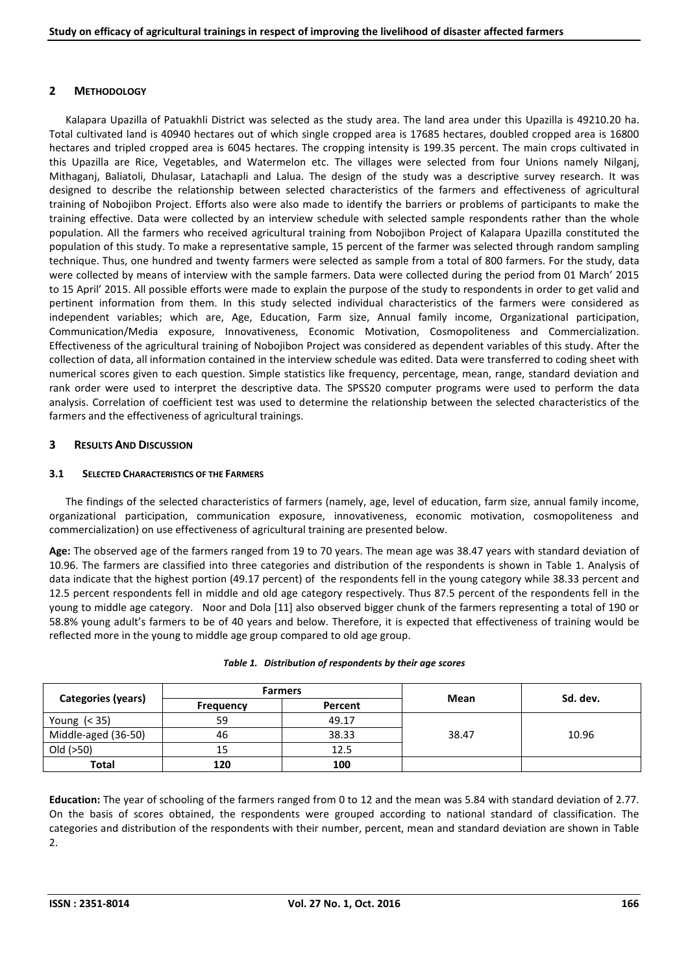## **2 METHODOLOGY**

Kalapara Upazilla of Patuakhli District was selected as the study area. The land area under this Upazilla is 49210.20 ha. Total cultivated land is 40940 hectares out of which single cropped area is 17685 hectares, doubled cropped area is 16800 hectares and tripled cropped area is 6045 hectares. The cropping intensity is 199.35 percent. The main crops cultivated in this Upazilla are Rice, Vegetables, and Watermelon etc. The villages were selected from four Unions namely Nilganj, Mithaganj, Baliatoli, Dhulasar, Latachapli and Lalua. The design of the study was a descriptive survey research. It was designed to describe the relationship between selected characteristics of the farmers and effectiveness of agricultural training of Nobojibon Project. Efforts also were also made to identify the barriers or problems of participants to make the training effective. Data were collected by an interview schedule with selected sample respondents rather than the whole population. All the farmers who received agricultural training from Nobojibon Project of Kalapara Upazilla constituted the population of this study. To make a representative sample, 15 percent of the farmer was selected through random sampling technique. Thus, one hundred and twenty farmers were selected as sample from a total of 800 farmers. For the study, data were collected by means of interview with the sample farmers. Data were collected during the period from 01 March' 2015 to 15 April' 2015. All possible efforts were made to explain the purpose of the study to respondents in order to get valid and pertinent information from them. In this study selected individual characteristics of the farmers were considered as independent variables; which are, Age, Education, Farm size, Annual family income, Organizational participation, Communication/Media exposure, Innovativeness, Economic Motivation, Cosmopoliteness and Commercialization. Effectiveness of the agricultural training of Nobojibon Project was considered as dependent variables of this study. After the collection of data, all information contained in the interview schedule was edited. Data were transferred to coding sheet with numerical scores given to each question. Simple statistics like frequency, percentage, mean, range, standard deviation and rank order were used to interpret the descriptive data. The SPSS20 computer programs were used to perform the data analysis. Correlation of coefficient test was used to determine the relationship between the selected characteristics of the farmers and the effectiveness of agricultural trainings.

## **3 RESULTS AND DISCUSSION**

## **3.1 SELECTED CHARACTERISTICS OF THE FARMERS**

The findings of the selected characteristics of farmers (namely, age, level of education, farm size, annual family income, organizational participation, communication exposure, innovativeness, economic motivation, cosmopoliteness and commercialization) on use effectiveness of agricultural training are presented below.

**Age:** The observed age of the farmers ranged from 19 to 70 years. The mean age was 38.47 years with standard deviation of 10.96. The farmers are classified into three categories and distribution of the respondents is shown in Table 1. Analysis of data indicate that the highest portion (49.17 percent) of the respondents fell in the young category while 38.33 percent and 12.5 percent respondents fell in middle and old age category respectively. Thus 87.5 percent of the respondents fell in the young to middle age category. Noor and Dola [11] also observed bigger chunk of the farmers representing a total of 190 or 58.8% young adult's farmers to be of 40 years and below. Therefore, it is expected that effectiveness of training would be reflected more in the young to middle age group compared to old age group.

| Categories (years)  | <b>Farmers</b>   |         |       |          |
|---------------------|------------------|---------|-------|----------|
|                     | <b>Frequency</b> | Percent | Mean  | Sd. dev. |
| Young $(35)$        | 59               | 49.17   |       |          |
| Middle-aged (36-50) | 46               | 38.33   | 38.47 | 10.96    |
| Old (>50)           | 15               | 12.5    |       |          |
| <b>Total</b>        | 120              | 100     |       |          |

#### *Table 1. Distribution of respondents by their age scores*

**Education:** The year of schooling of the farmers ranged from 0 to 12 and the mean was 5.84 with standard deviation of 2.77. On the basis of scores obtained, the respondents were grouped according to national standard of classification. The categories and distribution of the respondents with their number, percent, mean and standard deviation are shown in Table 2.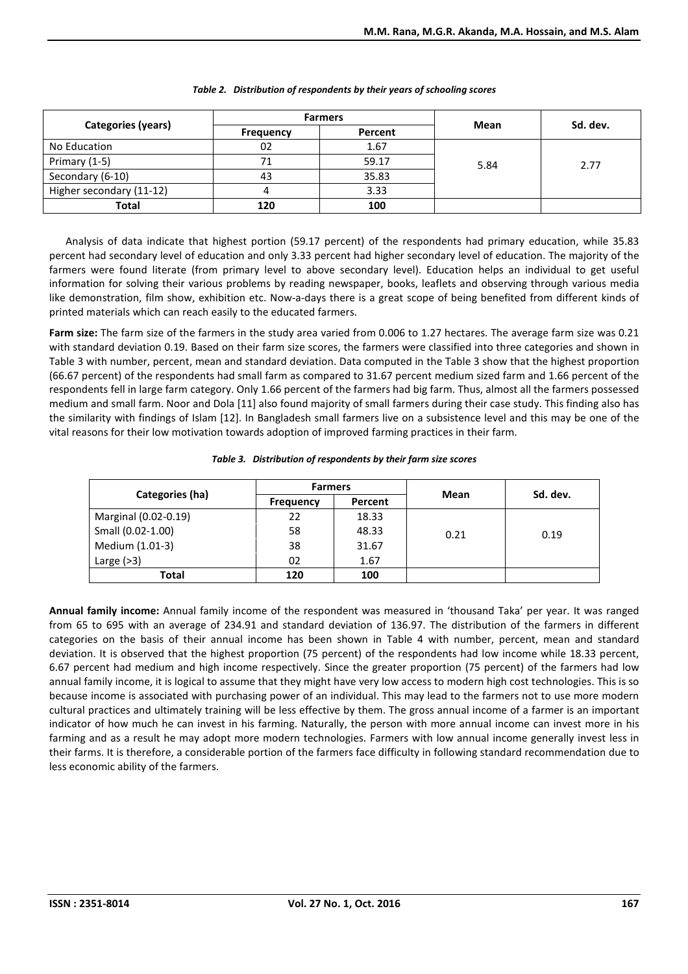| Categories (years)       | <b>Farmers</b>   |         |      |          |
|--------------------------|------------------|---------|------|----------|
|                          | <b>Frequency</b> | Percent | Mean | Sd. dev. |
| No Education             | 02               | 1.67    |      |          |
| Primary (1-5)            |                  | 59.17   | 5.84 | 2.77     |
| Secondary (6-10)         | 43               | 35.83   |      |          |
| Higher secondary (11-12) |                  | 3.33    |      |          |
| Total                    | 120              | 100     |      |          |

Analysis of data indicate that highest portion (59.17 percent) of the respondents had primary education, while 35.83 percent had secondary level of education and only 3.33 percent had higher secondary level of education. The majority of the farmers were found literate (from primary level to above secondary level). Education helps an individual to get useful information for solving their various problems by reading newspaper, books, leaflets and observing through various media like demonstration, film show, exhibition etc. Now-a-days there is a great scope of being benefited from different kinds of printed materials which can reach easily to the educated farmers.

**Farm size:** The farm size of the farmers in the study area varied from 0.006 to 1.27 hectares. The average farm size was 0.21 with standard deviation 0.19. Based on their farm size scores, the farmers were classified into three categories and shown in Table 3 with number, percent, mean and standard deviation. Data computed in the Table 3 show that the highest proportion (66.67 percent) of the respondents had small farm as compared to 31.67 percent medium sized farm and 1.66 percent of the respondents fell in large farm category. Only 1.66 percent of the farmers had big farm. Thus, almost all the farmers possessed medium and small farm. Noor and Dola [11] also found majority of small farmers during their case study. This finding also has the similarity with findings of Islam [12]. In Bangladesh small farmers live on a subsistence level and this may be one of the vital reasons for their low motivation towards adoption of improved farming practices in their farm.

|  | Table 3. Distribution of respondents by their farm size scores |
|--|----------------------------------------------------------------|
|--|----------------------------------------------------------------|

| Categories (ha)      |                  | <b>Farmers</b> |      |          |
|----------------------|------------------|----------------|------|----------|
|                      | <b>Frequency</b> | Percent        | Mean | Sd. dev. |
| Marginal (0.02-0.19) | 22               | 18.33          |      |          |
| Small (0.02-1.00)    | 58               | 48.33          | 0.21 | 0.19     |
| Medium (1.01-3)      | 38               | 31.67          |      |          |
| Large $(>3)$         | 02               | 1.67           |      |          |
| Total                | 120              | 100            |      |          |

**Annual family income:** Annual family income of the respondent was measured in 'thousand Taka' per year. It was ranged from 65 to 695 with an average of 234.91 and standard deviation of 136.97. The distribution of the farmers in different categories on the basis of their annual income has been shown in Table 4 with number, percent, mean and standard deviation. It is observed that the highest proportion (75 percent) of the respondents had low income while 18.33 percent, 6.67 percent had medium and high income respectively. Since the greater proportion (75 percent) of the farmers had low annual family income, it is logical to assume that they might have very low access to modern high cost technologies. This is so because income is associated with purchasing power of an individual. This may lead to the farmers not to use more modern cultural practices and ultimately training will be less effective by them. The gross annual income of a farmer is an important indicator of how much he can invest in his farming. Naturally, the person with more annual income can invest more in his farming and as a result he may adopt more modern technologies. Farmers with low annual income generally invest less in their farms. It is therefore, a considerable portion of the farmers face difficulty in following standard recommendation due to less economic ability of the farmers.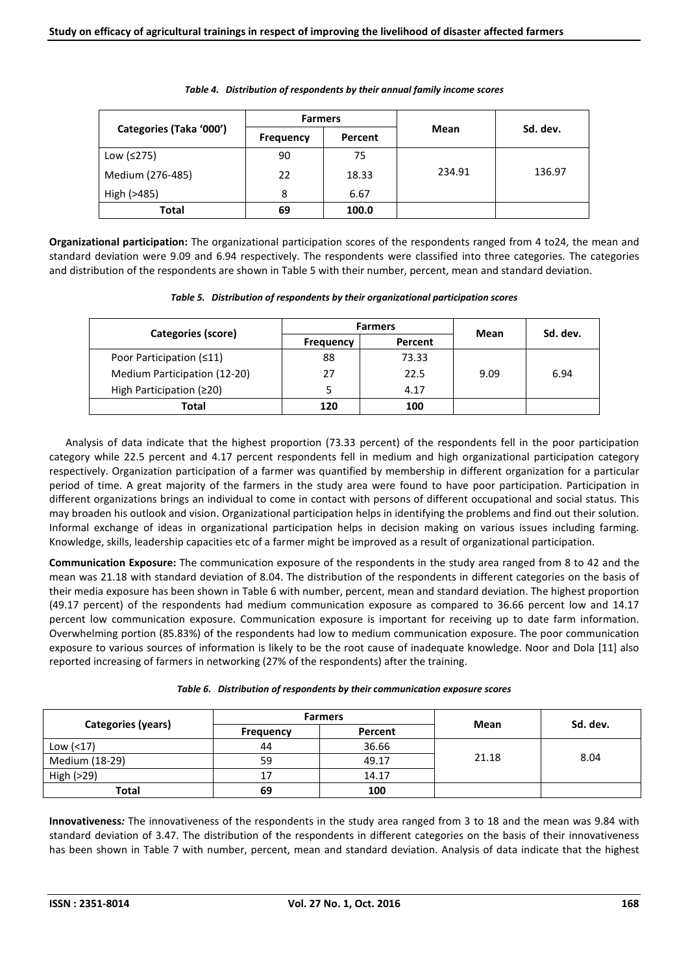|                         | <b>Farmers</b>   |         |        |          |
|-------------------------|------------------|---------|--------|----------|
| Categories (Taka '000') | <b>Frequency</b> | Percent | Mean   | Sd. dev. |
| Low $(≤275)$            | 90               | 75      |        |          |
| Medium (276-485)        | 22               | 18.33   | 234.91 | 136.97   |
| High (>485)             | 8                | 6.67    |        |          |
| Total                   | 69               | 100.0   |        |          |

#### *Table 4. Distribution of respondents by their annual family income scores*

**Organizational participation:** The organizational participation scores of the respondents ranged from 4 to24, the mean and standard deviation were 9.09 and 6.94 respectively. The respondents were classified into three categories. The categories and distribution of the respondents are shown in Table 5 with their number, percent, mean and standard deviation.

| Table 5. Distribution of respondents by their organizational participation scores |  |  |  |  |  |
|-----------------------------------------------------------------------------------|--|--|--|--|--|
|-----------------------------------------------------------------------------------|--|--|--|--|--|

|                              |                  | <b>Farmers</b> | Mean | Sd. dev. |  |
|------------------------------|------------------|----------------|------|----------|--|
| Categories (score)           | <b>Frequency</b> | Percent        |      |          |  |
| Poor Participation (≤11)     | 88               | 73.33          |      |          |  |
| Medium Participation (12-20) | 27               | 22.5           | 9.09 | 6.94     |  |
| High Participation $(220)$   |                  | 4.17           |      |          |  |
| Total                        | 120              | 100            |      |          |  |

Analysis of data indicate that the highest proportion (73.33 percent) of the respondents fell in the poor participation category while 22.5 percent and 4.17 percent respondents fell in medium and high organizational participation category respectively. Organization participation of a farmer was quantified by membership in different organization for a particular period of time. A great majority of the farmers in the study area were found to have poor participation. Participation in different organizations brings an individual to come in contact with persons of different occupational and social status. This may broaden his outlook and vision. Organizational participation helps in identifying the problems and find out their solution. Informal exchange of ideas in organizational participation helps in decision making on various issues including farming. Knowledge, skills, leadership capacities etc of a farmer might be improved as a result of organizational participation.

**Communication Exposure:** The communication exposure of the respondents in the study area ranged from 8 to 42 and the mean was 21.18 with standard deviation of 8.04. The distribution of the respondents in different categories on the basis of their media exposure has been shown in Table 6 with number, percent, mean and standard deviation. The highest proportion (49.17 percent) of the respondents had medium communication exposure as compared to 36.66 percent low and 14.17 percent low communication exposure. Communication exposure is important for receiving up to date farm information. Overwhelming portion (85.83%) of the respondents had low to medium communication exposure. The poor communication exposure to various sources of information is likely to be the root cause of inadequate knowledge. Noor and Dola [11] also reported increasing of farmers in networking (27% of the respondents) after the training.

| Categories (years) | <b>Farmers</b>   |         |       |          |
|--------------------|------------------|---------|-------|----------|
|                    | <b>Frequency</b> | Percent | Mean  | Sd. dev. |
| Low $(17)$         | 44               | 36.66   |       |          |
| Medium (18-29)     | 59               | 49.17   | 21.18 | 8.04     |
| High (>29)         | 17               | 14.17   |       |          |
| <b>Total</b>       | 69               | 100     |       |          |

|  | Table 6. Distribution of respondents by their communication exposure scores |  |
|--|-----------------------------------------------------------------------------|--|
|  |                                                                             |  |

**Innovativeness***:* The innovativeness of the respondents in the study area ranged from 3 to 18 and the mean was 9.84 with standard deviation of 3.47. The distribution of the respondents in different categories on the basis of their innovativeness has been shown in Table 7 with number, percent, mean and standard deviation. Analysis of data indicate that the highest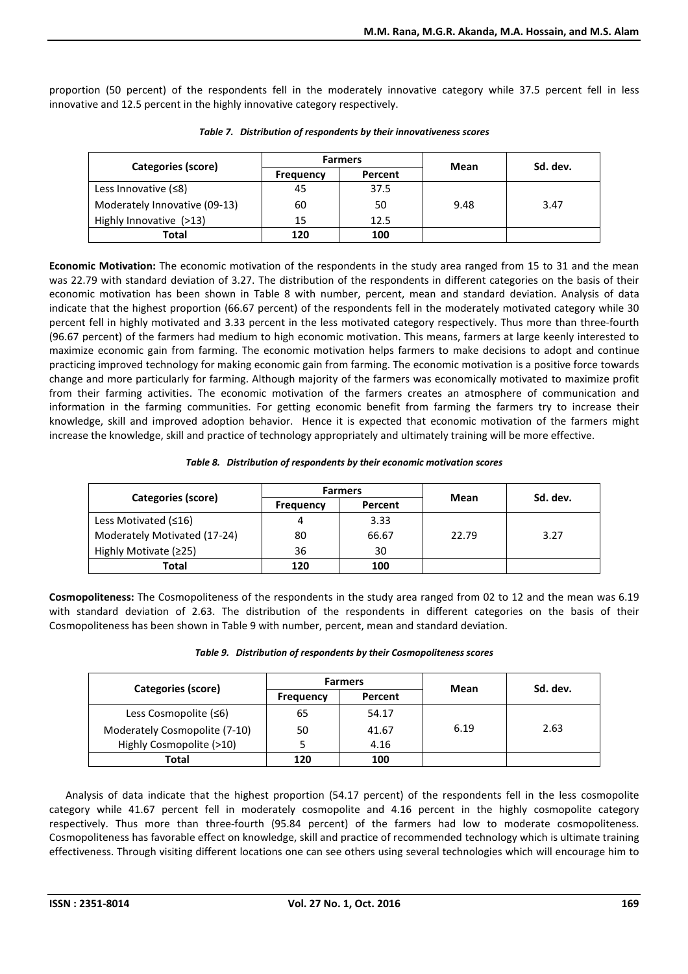proportion (50 percent) of the respondents fell in the moderately innovative category while 37.5 percent fell in less innovative and 12.5 percent in the highly innovative category respectively.

|                               | <b>Farmers</b>   |         | Mean |          |
|-------------------------------|------------------|---------|------|----------|
| Categories (score)            | <b>Frequency</b> | Percent |      | Sd. dev. |
| Less Innovative $(≤8)$        | 45               | 37.5    |      |          |
| Moderately Innovative (09-13) | 60               | 50      | 9.48 | 3.47     |
| Highly Innovative (>13)       | 15               | 12.5    |      |          |
| Total                         | 120              | 100     |      |          |

*Table 7. Distribution of respondents by their innovativeness scores* 

**Economic Motivation:** The economic motivation of the respondents in the study area ranged from 15 to 31 and the mean was 22.79 with standard deviation of 3.27. The distribution of the respondents in different categories on the basis of their economic motivation has been shown in Table 8 with number, percent, mean and standard deviation. Analysis of data indicate that the highest proportion (66.67 percent) of the respondents fell in the moderately motivated category while 30 percent fell in highly motivated and 3.33 percent in the less motivated category respectively. Thus more than three-fourth (96.67 percent) of the farmers had medium to high economic motivation. This means, farmers at large keenly interested to maximize economic gain from farming. The economic motivation helps farmers to make decisions to adopt and continue practicing improved technology for making economic gain from farming. The economic motivation is a positive force towards change and more particularly for farming. Although majority of the farmers was economically motivated to maximize profit from their farming activities. The economic motivation of the farmers creates an atmosphere of communication and information in the farming communities. For getting economic benefit from farming the farmers try to increase their knowledge, skill and improved adoption behavior. Hence it is expected that economic motivation of the farmers might increase the knowledge, skill and practice of technology appropriately and ultimately training will be more effective.

#### *Table 8. Distribution of respondents by their economic motivation scores*

|                              | <b>Farmers</b>   |         | Mean  |          |
|------------------------------|------------------|---------|-------|----------|
| Categories (score)           | <b>Frequency</b> | Percent |       | Sd. dev. |
| Less Motivated $(≤16)$       |                  | 3.33    |       |          |
| Moderately Motivated (17-24) | 80               | 66.67   | 22.79 | 3.27     |
| Highly Motivate (≥25)        | 36               | 30      |       |          |
| Total                        | 120              | 100     |       |          |

**Cosmopoliteness:** The Cosmopoliteness of the respondents in the study area ranged from 02 to 12 and the mean was 6.19 with standard deviation of 2.63. The distribution of the respondents in different categories on the basis of their Cosmopoliteness has been shown in Table 9 with number, percent, mean and standard deviation.

|  |  |  | Table 9. Distribution of respondents by their Cosmopoliteness scores |
|--|--|--|----------------------------------------------------------------------|
|--|--|--|----------------------------------------------------------------------|

|                               | <b>Farmers</b>   |         | Mean | Sd. dev. |
|-------------------------------|------------------|---------|------|----------|
| Categories (score)            | <b>Frequency</b> | Percent |      |          |
| Less Cosmopolite $(56)$       | 65               | 54.17   |      |          |
| Moderately Cosmopolite (7-10) | 50               | 41.67   | 6.19 | 2.63     |
| Highly Cosmopolite (>10)      |                  | 4.16    |      |          |
| Total                         | 120              | 100     |      |          |

Analysis of data indicate that the highest proportion (54.17 percent) of the respondents fell in the less cosmopolite category while 41.67 percent fell in moderately cosmopolite and 4.16 percent in the highly cosmopolite category respectively. Thus more than three-fourth (95.84 percent) of the farmers had low to moderate cosmopoliteness. Cosmopoliteness has favorable effect on knowledge, skill and practice of recommended technology which is ultimate training effectiveness. Through visiting different locations one can see others using several technologies which will encourage him to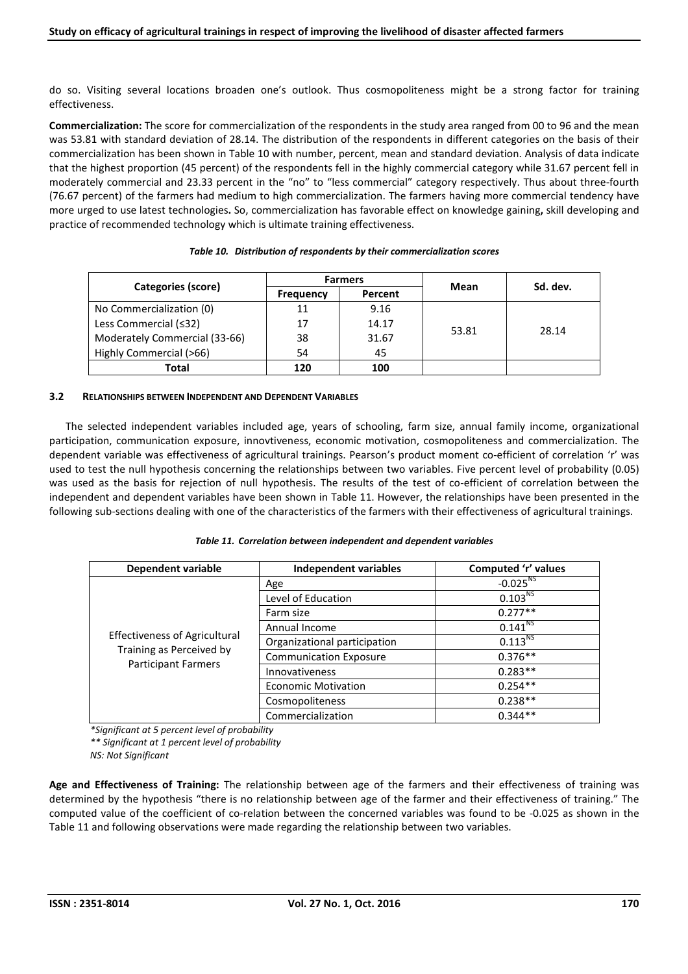do so. Visiting several locations broaden one's outlook. Thus cosmopoliteness might be a strong factor for training effectiveness.

**Commercialization:** The score for commercialization of the respondents in the study area ranged from 00 to 96 and the mean was 53.81 with standard deviation of 28.14. The distribution of the respondents in different categories on the basis of their commercialization has been shown in Table 10 with number, percent, mean and standard deviation. Analysis of data indicate that the highest proportion (45 percent) of the respondents fell in the highly commercial category while 31.67 percent fell in moderately commercial and 23.33 percent in the "no" to "less commercial" category respectively. Thus about three-fourth (76.67 percent) of the farmers had medium to high commercialization. The farmers having more commercial tendency have more urged to use latest technologies**.** So, commercialization has favorable effect on knowledge gaining**,** skill developing and practice of recommended technology which is ultimate training effectiveness.

|                               | <b>Farmers</b>   |         |       |          |
|-------------------------------|------------------|---------|-------|----------|
| Categories (score)            | <b>Frequency</b> | Percent | Mean  | Sd. dev. |
| No Commercialization (0)      | 11               | 9.16    |       |          |
| Less Commercial (≤32)         | 17               | 14.17   | 53.81 | 28.14    |
| Moderately Commercial (33-66) | 38               | 31.67   |       |          |
| Highly Commercial (>66)       | 54               | 45      |       |          |
| Total                         | 120              | 100     |       |          |

#### *Table 10. Distribution of respondents by their commercialization scores*

## **3.2 RELATIONSHIPS BETWEEN INDEPENDENT AND DEPENDENT VARIABLES**

The selected independent variables included age, years of schooling, farm size, annual family income, organizational participation, communication exposure, innovtiveness, economic motivation, cosmopoliteness and commercialization. The dependent variable was effectiveness of agricultural trainings. Pearson's product moment co-efficient of correlation 'r' was used to test the null hypothesis concerning the relationships between two variables. Five percent level of probability (0.05) was used as the basis for rejection of null hypothesis. The results of the test of co-efficient of correlation between the independent and dependent variables have been shown in Table 11. However, the relationships have been presented in the following sub-sections dealing with one of the characteristics of the farmers with their effectiveness of agricultural trainings.

| <b>Dependent variable</b>                              | Independent variables         | Computed 'r' values |
|--------------------------------------------------------|-------------------------------|---------------------|
|                                                        | Age                           | $-0.025^{N5}$       |
|                                                        | Level of Education            | $0.103^{NS}$        |
|                                                        | Farm size                     | $0.277**$           |
|                                                        | Annual Income                 | $0.141^{N5}$        |
| <b>Effectiveness of Agricultural</b>                   | Organizational participation  | $0.113^{NS}$        |
| Training as Perceived by<br><b>Participant Farmers</b> | <b>Communication Exposure</b> | $0.376**$           |
|                                                        | <b>Innovativeness</b>         | $0.283**$           |
|                                                        | <b>Economic Motivation</b>    | $0.254**$           |
|                                                        | Cosmopoliteness               | $0.238**$           |
|                                                        | Commercialization             | $0.344**$           |

*\*Significant at 5 percent level of probability \*\* Significant at 1 percent level of probability* 

*NS: Not Significant* 

**Age and Effectiveness of Training:** The relationship between age of the farmers and their effectiveness of training was determined by the hypothesis "there is no relationship between age of the farmer and their effectiveness of training." The computed value of the coefficient of co-relation between the concerned variables was found to be -0.025 as shown in the Table 11 and following observations were made regarding the relationship between two variables.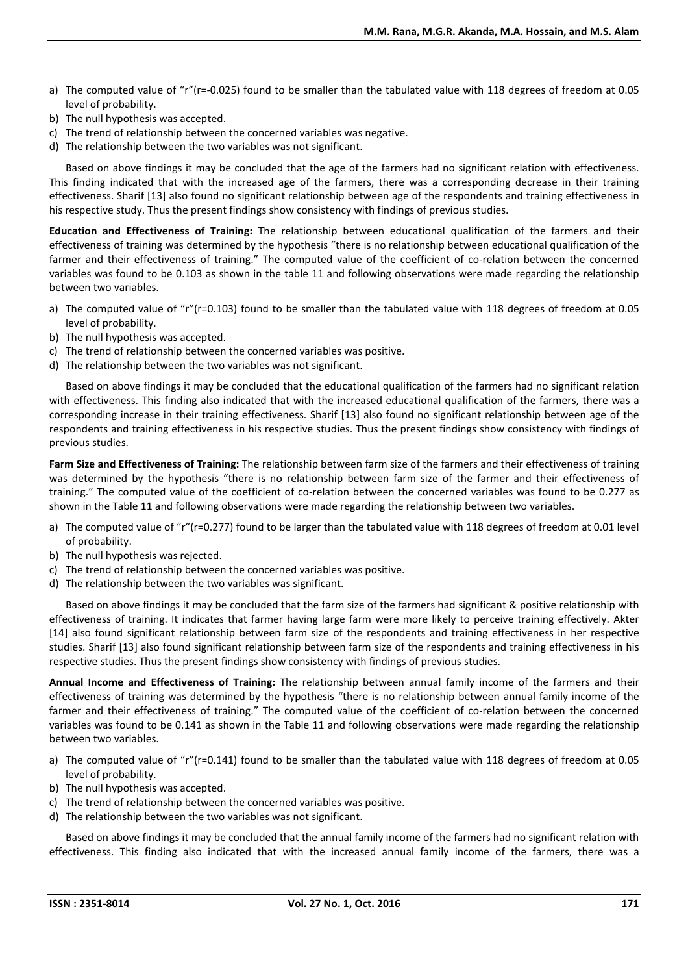- a) The computed value of "r"(r=-0.025) found to be smaller than the tabulated value with 118 degrees of freedom at 0.05 level of probability.
- b) The null hypothesis was accepted.
- c) The trend of relationship between the concerned variables was negative.
- d) The relationship between the two variables was not significant.

Based on above findings it may be concluded that the age of the farmers had no significant relation with effectiveness. This finding indicated that with the increased age of the farmers, there was a corresponding decrease in their training effectiveness. Sharif [13] also found no significant relationship between age of the respondents and training effectiveness in his respective study. Thus the present findings show consistency with findings of previous studies.

**Education and Effectiveness of Training:** The relationship between educational qualification of the farmers and their effectiveness of training was determined by the hypothesis "there is no relationship between educational qualification of the farmer and their effectiveness of training." The computed value of the coefficient of co-relation between the concerned variables was found to be 0.103 as shown in the table 11 and following observations were made regarding the relationship between two variables.

- a) The computed value of "r"(r=0.103) found to be smaller than the tabulated value with 118 degrees of freedom at 0.05 level of probability.
- b) The null hypothesis was accepted.
- c) The trend of relationship between the concerned variables was positive.
- d) The relationship between the two variables was not significant.

Based on above findings it may be concluded that the educational qualification of the farmers had no significant relation with effectiveness. This finding also indicated that with the increased educational qualification of the farmers, there was a corresponding increase in their training effectiveness. Sharif [13] also found no significant relationship between age of the respondents and training effectiveness in his respective studies. Thus the present findings show consistency with findings of previous studies.

**Farm Size and Effectiveness of Training:** The relationship between farm size of the farmers and their effectiveness of training was determined by the hypothesis "there is no relationship between farm size of the farmer and their effectiveness of training." The computed value of the coefficient of co-relation between the concerned variables was found to be 0.277 as shown in the Table 11 and following observations were made regarding the relationship between two variables.

- a) The computed value of "r"(r=0.277) found to be larger than the tabulated value with 118 degrees of freedom at 0.01 level of probability.
- b) The null hypothesis was rejected.
- c) The trend of relationship between the concerned variables was positive.
- d) The relationship between the two variables was significant.

Based on above findings it may be concluded that the farm size of the farmers had significant & positive relationship with effectiveness of training. It indicates that farmer having large farm were more likely to perceive training effectively. Akter [14] also found significant relationship between farm size of the respondents and training effectiveness in her respective studies. Sharif [13] also found significant relationship between farm size of the respondents and training effectiveness in his respective studies. Thus the present findings show consistency with findings of previous studies.

**Annual Income and Effectiveness of Training:** The relationship between annual family income of the farmers and their effectiveness of training was determined by the hypothesis "there is no relationship between annual family income of the farmer and their effectiveness of training." The computed value of the coefficient of co-relation between the concerned variables was found to be 0.141 as shown in the Table 11 and following observations were made regarding the relationship between two variables.

- a) The computed value of "r"(r=0.141) found to be smaller than the tabulated value with 118 degrees of freedom at 0.05 level of probability.
- b) The null hypothesis was accepted.
- c) The trend of relationship between the concerned variables was positive.
- d) The relationship between the two variables was not significant.

Based on above findings it may be concluded that the annual family income of the farmers had no significant relation with effectiveness. This finding also indicated that with the increased annual family income of the farmers, there was a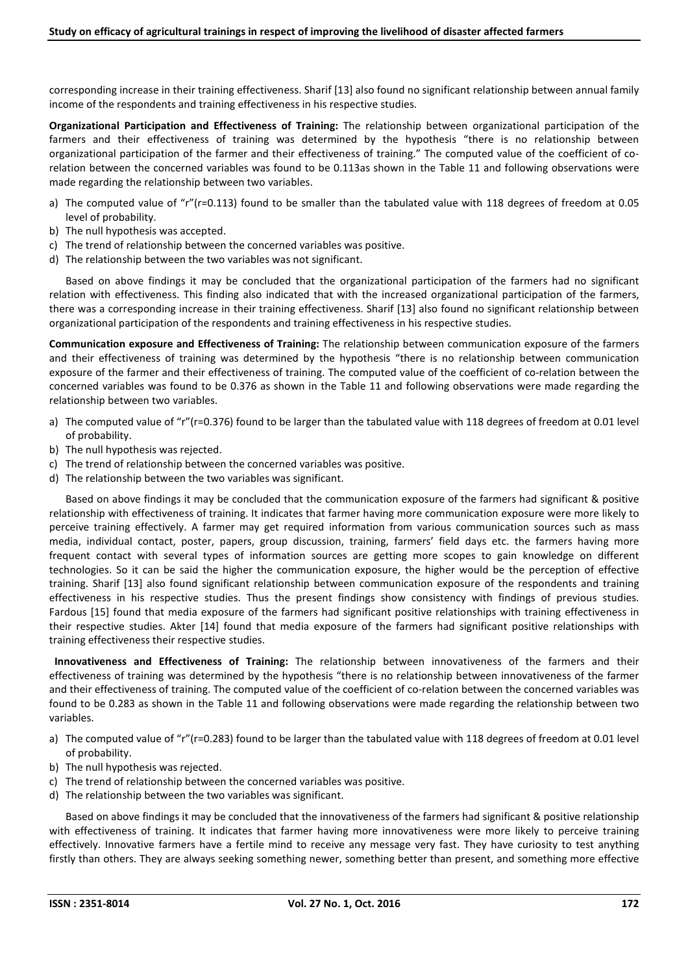corresponding increase in their training effectiveness. Sharif [13] also found no significant relationship between annual family income of the respondents and training effectiveness in his respective studies.

**Organizational Participation and Effectiveness of Training:** The relationship between organizational participation of the farmers and their effectiveness of training was determined by the hypothesis "there is no relationship between organizational participation of the farmer and their effectiveness of training." The computed value of the coefficient of corelation between the concerned variables was found to be 0.113as shown in the Table 11 and following observations were made regarding the relationship between two variables.

- a) The computed value of "r"(r=0.113) found to be smaller than the tabulated value with 118 degrees of freedom at 0.05 level of probability.
- b) The null hypothesis was accepted.
- c) The trend of relationship between the concerned variables was positive.
- d) The relationship between the two variables was not significant.

Based on above findings it may be concluded that the organizational participation of the farmers had no significant relation with effectiveness. This finding also indicated that with the increased organizational participation of the farmers, there was a corresponding increase in their training effectiveness. Sharif [13] also found no significant relationship between organizational participation of the respondents and training effectiveness in his respective studies.

**Communication exposure and Effectiveness of Training:** The relationship between communication exposure of the farmers and their effectiveness of training was determined by the hypothesis "there is no relationship between communication exposure of the farmer and their effectiveness of training. The computed value of the coefficient of co-relation between the concerned variables was found to be 0.376 as shown in the Table 11 and following observations were made regarding the relationship between two variables.

- a) The computed value of "r"(r=0.376) found to be larger than the tabulated value with 118 degrees of freedom at 0.01 level of probability.
- b) The null hypothesis was rejected.
- c) The trend of relationship between the concerned variables was positive.
- d) The relationship between the two variables was significant.

Based on above findings it may be concluded that the communication exposure of the farmers had significant & positive relationship with effectiveness of training. It indicates that farmer having more communication exposure were more likely to perceive training effectively. A farmer may get required information from various communication sources such as mass media, individual contact, poster, papers, group discussion, training, farmers' field days etc. the farmers having more frequent contact with several types of information sources are getting more scopes to gain knowledge on different technologies. So it can be said the higher the communication exposure, the higher would be the perception of effective training. Sharif [13] also found significant relationship between communication exposure of the respondents and training effectiveness in his respective studies. Thus the present findings show consistency with findings of previous studies. Fardous [15] found that media exposure of the farmers had significant positive relationships with training effectiveness in their respective studies. Akter [14] found that media exposure of the farmers had significant positive relationships with training effectiveness their respective studies.

 **Innovativeness and Effectiveness of Training:** The relationship between innovativeness of the farmers and their effectiveness of training was determined by the hypothesis "there is no relationship between innovativeness of the farmer and their effectiveness of training. The computed value of the coefficient of co-relation between the concerned variables was found to be 0.283 as shown in the Table 11 and following observations were made regarding the relationship between two variables.

- a) The computed value of "r"(r=0.283) found to be larger than the tabulated value with 118 degrees of freedom at 0.01 level of probability.
- b) The null hypothesis was rejected.
- c) The trend of relationship between the concerned variables was positive.
- d) The relationship between the two variables was significant.

Based on above findings it may be concluded that the innovativeness of the farmers had significant & positive relationship with effectiveness of training. It indicates that farmer having more innovativeness were more likely to perceive training effectively. Innovative farmers have a fertile mind to receive any message very fast. They have curiosity to test anything firstly than others. They are always seeking something newer, something better than present, and something more effective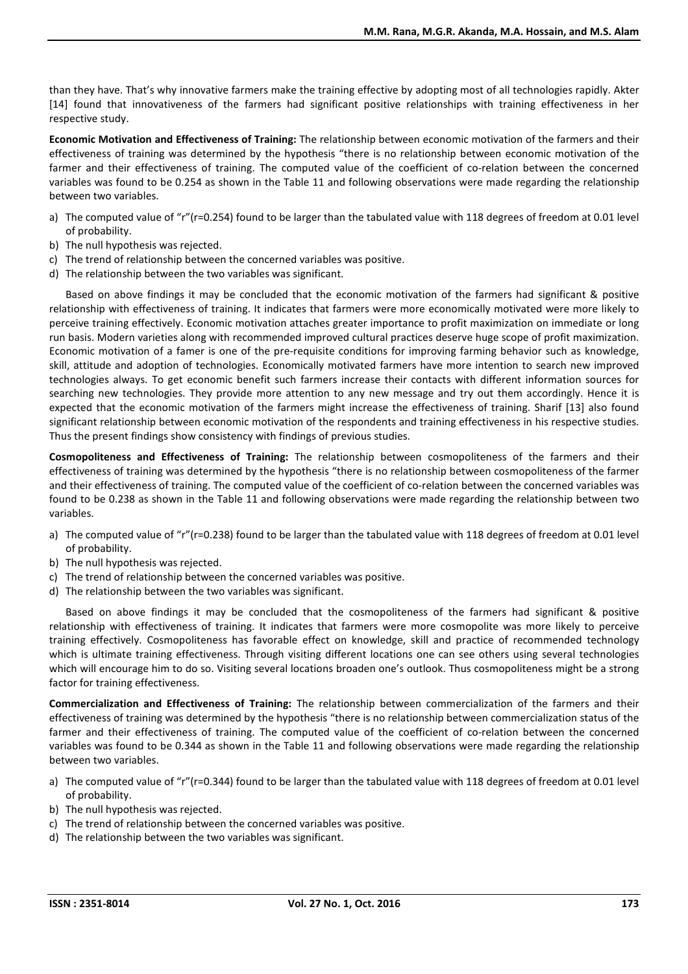than they have. That's why innovative farmers make the training effective by adopting most of all technologies rapidly. Akter [14] found that innovativeness of the farmers had significant positive relationships with training effectiveness in her respective study.

**Economic Motivation and Effectiveness of Training:** The relationship between economic motivation of the farmers and their effectiveness of training was determined by the hypothesis "there is no relationship between economic motivation of the farmer and their effectiveness of training. The computed value of the coefficient of co-relation between the concerned variables was found to be 0.254 as shown in the Table 11 and following observations were made regarding the relationship between two variables.

- a) The computed value of "r"(r=0.254) found to be larger than the tabulated value with 118 degrees of freedom at 0.01 level of probability.
- b) The null hypothesis was rejected.
- c) The trend of relationship between the concerned variables was positive.
- d) The relationship between the two variables was significant.

Based on above findings it may be concluded that the economic motivation of the farmers had significant & positive relationship with effectiveness of training. It indicates that farmers were more economically motivated were more likely to perceive training effectively. Economic motivation attaches greater importance to profit maximization on immediate or long run basis. Modern varieties along with recommended improved cultural practices deserve huge scope of profit maximization. Economic motivation of a famer is one of the pre-requisite conditions for improving farming behavior such as knowledge, skill, attitude and adoption of technologies. Economically motivated farmers have more intention to search new improved technologies always. To get economic benefit such farmers increase their contacts with different information sources for searching new technologies. They provide more attention to any new message and try out them accordingly. Hence it is expected that the economic motivation of the farmers might increase the effectiveness of training. Sharif [13] also found significant relationship between economic motivation of the respondents and training effectiveness in his respective studies. Thus the present findings show consistency with findings of previous studies.

**Cosmopoliteness and Effectiveness of Training:** The relationship between cosmopoliteness of the farmers and their effectiveness of training was determined by the hypothesis "there is no relationship between cosmopoliteness of the farmer and their effectiveness of training. The computed value of the coefficient of co-relation between the concerned variables was found to be 0.238 as shown in the Table 11 and following observations were made regarding the relationship between two variables.

- a) The computed value of "r"(r=0.238) found to be larger than the tabulated value with 118 degrees of freedom at 0.01 level of probability.
- b) The null hypothesis was rejected.
- c) The trend of relationship between the concerned variables was positive.
- d) The relationship between the two variables was significant.

Based on above findings it may be concluded that the cosmopoliteness of the farmers had significant & positive relationship with effectiveness of training. It indicates that farmers were more cosmopolite was more likely to perceive training effectively. Cosmopoliteness has favorable effect on knowledge, skill and practice of recommended technology which is ultimate training effectiveness. Through visiting different locations one can see others using several technologies which will encourage him to do so. Visiting several locations broaden one's outlook. Thus cosmopoliteness might be a strong factor for training effectiveness.

**Commercialization and Effectiveness of Training:** The relationship between commercialization of the farmers and their effectiveness of training was determined by the hypothesis "there is no relationship between commercialization status of the farmer and their effectiveness of training. The computed value of the coefficient of co-relation between the concerned variables was found to be 0.344 as shown in the Table 11 and following observations were made regarding the relationship between two variables.

- a) The computed value of "r"(r=0.344) found to be larger than the tabulated value with 118 degrees of freedom at 0.01 level of probability.
- b) The null hypothesis was rejected.
- c) The trend of relationship between the concerned variables was positive.
- d) The relationship between the two variables was significant.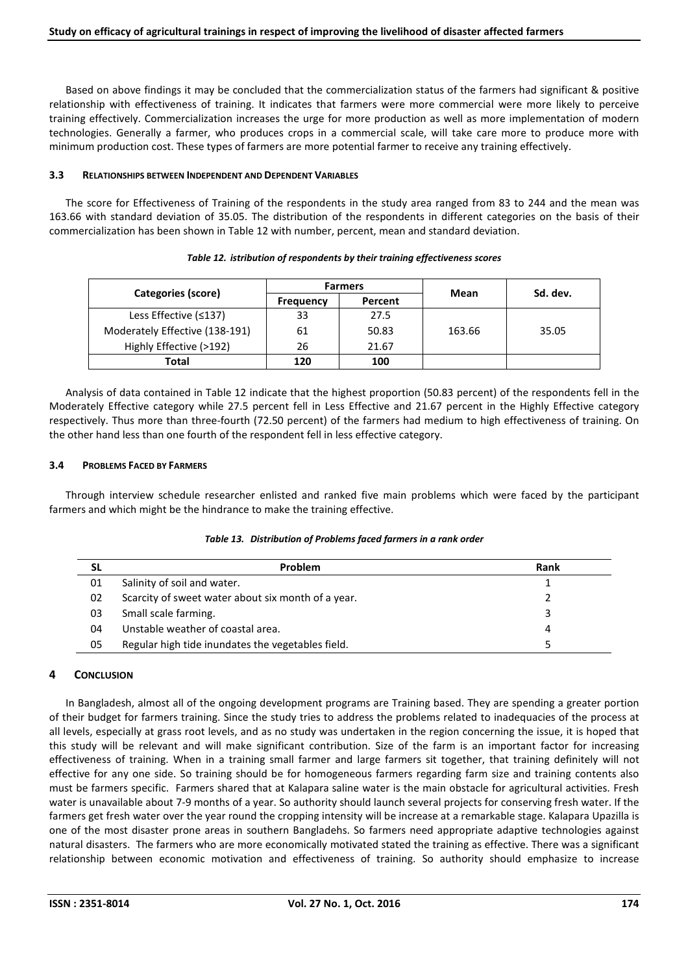Based on above findings it may be concluded that the commercialization status of the farmers had significant & positive relationship with effectiveness of training. It indicates that farmers were more commercial were more likely to perceive training effectively. Commercialization increases the urge for more production as well as more implementation of modern technologies. Generally a farmer, who produces crops in a commercial scale, will take care more to produce more with minimum production cost. These types of farmers are more potential farmer to receive any training effectively.

## **3.3 RELATIONSHIPS BETWEEN INDEPENDENT AND DEPENDENT VARIABLES**

The score for Effectiveness of Training of the respondents in the study area ranged from 83 to 244 and the mean was 163.66 with standard deviation of 35.05. The distribution of the respondents in different categories on the basis of their commercialization has been shown in Table 12 with number, percent, mean and standard deviation.

|                                | <b>Farmers</b>   |         |        |          |
|--------------------------------|------------------|---------|--------|----------|
| Categories (score)             | <b>Frequency</b> | Percent | Mean   | Sd. dev. |
| Less Effective $(≤137)$        | 33               | 27.5    |        |          |
| Moderately Effective (138-191) | 61               | 50.83   | 163.66 | 35.05    |
| Highly Effective (>192)        | 26               | 21.67   |        |          |
| Total                          | 120              | 100     |        |          |

#### *Table 12. istribution of respondents by their training effectiveness scores*

Analysis of data contained in Table 12 indicate that the highest proportion (50.83 percent) of the respondents fell in the Moderately Effective category while 27.5 percent fell in Less Effective and 21.67 percent in the Highly Effective category respectively. Thus more than three-fourth (72.50 percent) of the farmers had medium to high effectiveness of training. On the other hand less than one fourth of the respondent fell in less effective category.

#### **3.4 PROBLEMS FACED BY FARMERS**

Through interview schedule researcher enlisted and ranked five main problems which were faced by the participant farmers and which might be the hindrance to make the training effective.

| Table 13. Distribution of Problems faced farmers in a rank order |  |  |  |
|------------------------------------------------------------------|--|--|--|
|                                                                  |  |  |  |

| <b>SL</b> | Problem                                            | Rank |
|-----------|----------------------------------------------------|------|
| 01        | Salinity of soil and water.                        |      |
| 02        | Scarcity of sweet water about six month of a year. |      |
| 03        | Small scale farming.                               | ર    |
| 04        | Unstable weather of coastal area.                  | 4    |
| 05        | Regular high tide inundates the vegetables field.  |      |

## **4 CONCLUSION**

In Bangladesh, almost all of the ongoing development programs are Training based. They are spending a greater portion of their budget for farmers training. Since the study tries to address the problems related to inadequacies of the process at all levels, especially at grass root levels, and as no study was undertaken in the region concerning the issue, it is hoped that this study will be relevant and will make significant contribution. Size of the farm is an important factor for increasing effectiveness of training. When in a training small farmer and large farmers sit together, that training definitely will not effective for any one side. So training should be for homogeneous farmers regarding farm size and training contents also must be farmers specific. Farmers shared that at Kalapara saline water is the main obstacle for agricultural activities. Fresh water is unavailable about 7-9 months of a year. So authority should launch several projects for conserving fresh water. If the farmers get fresh water over the year round the cropping intensity will be increase at a remarkable stage. Kalapara Upazilla is one of the most disaster prone areas in southern Bangladehs. So farmers need appropriate adaptive technologies against natural disasters. The farmers who are more economically motivated stated the training as effective. There was a significant relationship between economic motivation and effectiveness of training. So authority should emphasize to increase